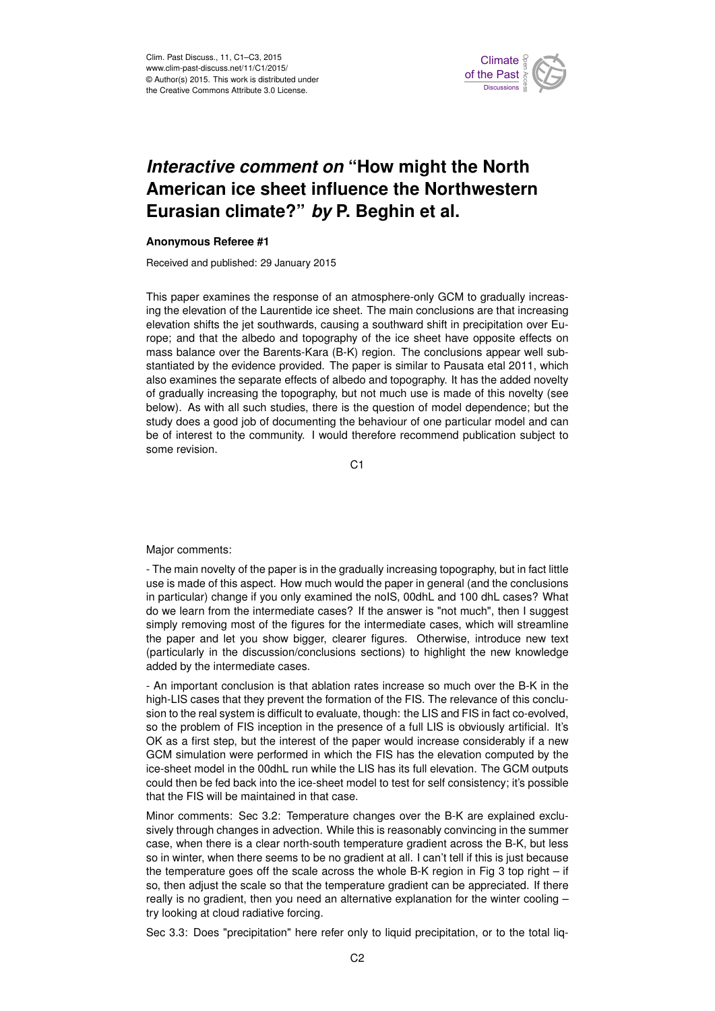

## *Interactive comment on* **"How might the North American ice sheet influence the Northwestern Eurasian climate?"** *by* **P. Beghin et al.**

## **Anonymous Referee #1**

Received and published: 29 January 2015

This paper examines the response of an atmosphere-only GCM to gradually increasing the elevation of the Laurentide ice sheet. The main conclusions are that increasing elevation shifts the jet southwards, causing a southward shift in precipitation over Europe; and that the albedo and topography of the ice sheet have opposite effects on mass balance over the Barents-Kara (B-K) region. The conclusions appear well substantiated by the evidence provided. The paper is similar to Pausata etal 2011, which also examines the separate effects of albedo and topography. It has the added novelty of gradually increasing the topography, but not much use is made of this novelty (see below). As with all such studies, there is the question of model dependence; but the study does a good job of documenting the behaviour of one particular model and can be of interest to the community. I would therefore recommend publication subject to some revision.

C<sub>1</sub>

Major comments:

- The main novelty of the paper is in the gradually increasing topography, but in fact little use is made of this aspect. How much would the paper in general (and the conclusions in particular) change if you only examined the noIS, 00dhL and 100 dhL cases? What do we learn from the intermediate cases? If the answer is "not much", then I suggest simply removing most of the figures for the intermediate cases, which will streamline the paper and let you show bigger, clearer figures. Otherwise, introduce new text (particularly in the discussion/conclusions sections) to highlight the new knowledge added by the intermediate cases.

- An important conclusion is that ablation rates increase so much over the B-K in the high-LIS cases that they prevent the formation of the FIS. The relevance of this conclusion to the real system is difficult to evaluate, though: the LIS and FIS in fact co-evolved, so the problem of FIS inception in the presence of a full LIS is obviously artificial. It's OK as a first step, but the interest of the paper would increase considerably if a new GCM simulation were performed in which the FIS has the elevation computed by the ice-sheet model in the 00dhL run while the LIS has its full elevation. The GCM outputs could then be fed back into the ice-sheet model to test for self consistency; it's possible that the FIS will be maintained in that case.

Minor comments: Sec 3.2: Temperature changes over the B-K are explained exclusively through changes in advection. While this is reasonably convincing in the summer case, when there is a clear north-south temperature gradient across the B-K, but less so in winter, when there seems to be no gradient at all. I can't tell if this is just because the temperature goes off the scale across the whole B-K region in Fig 3 top right – if so, then adjust the scale so that the temperature gradient can be appreciated. If there really is no gradient, then you need an alternative explanation for the winter cooling – try looking at cloud radiative forcing.

Sec 3.3: Does "precipitation" here refer only to liquid precipitation, or to the total liq-